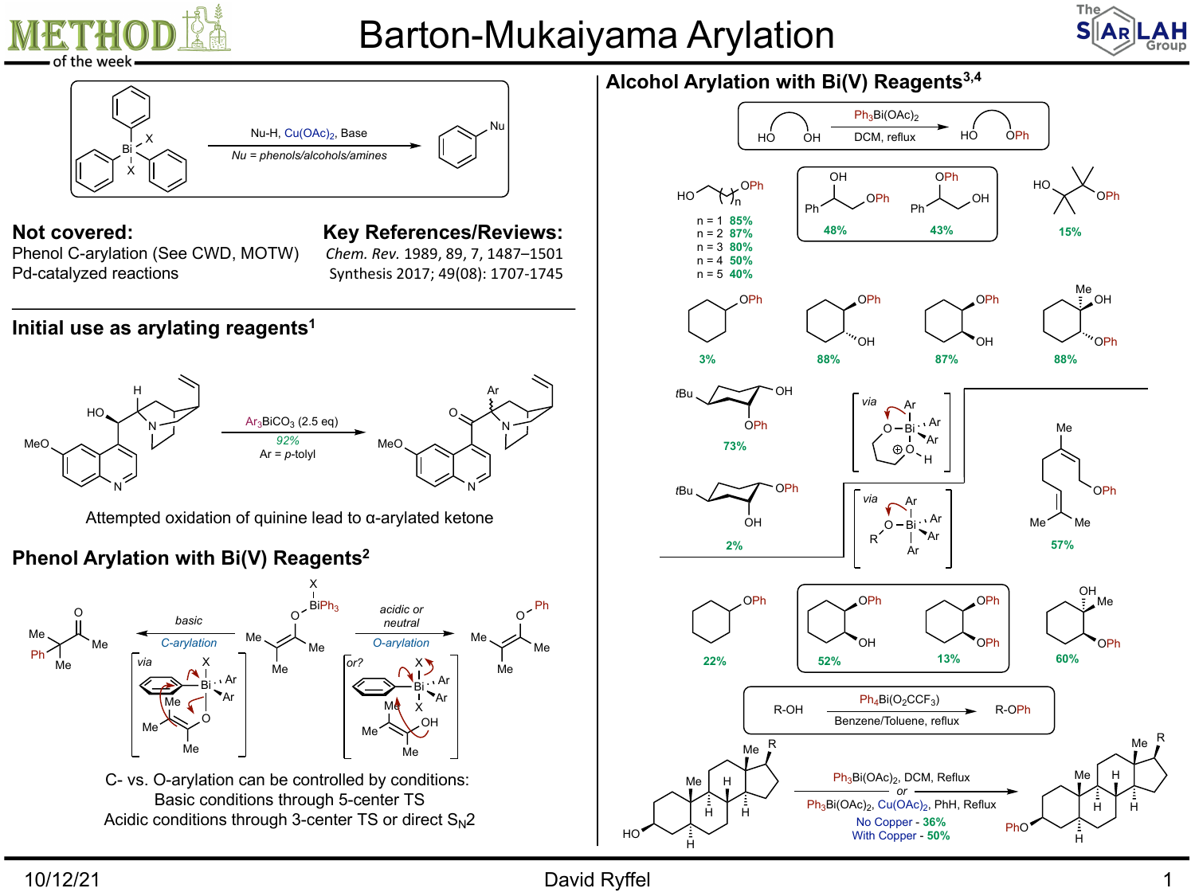

## Barton-Mukaiyama Arylation





Me

R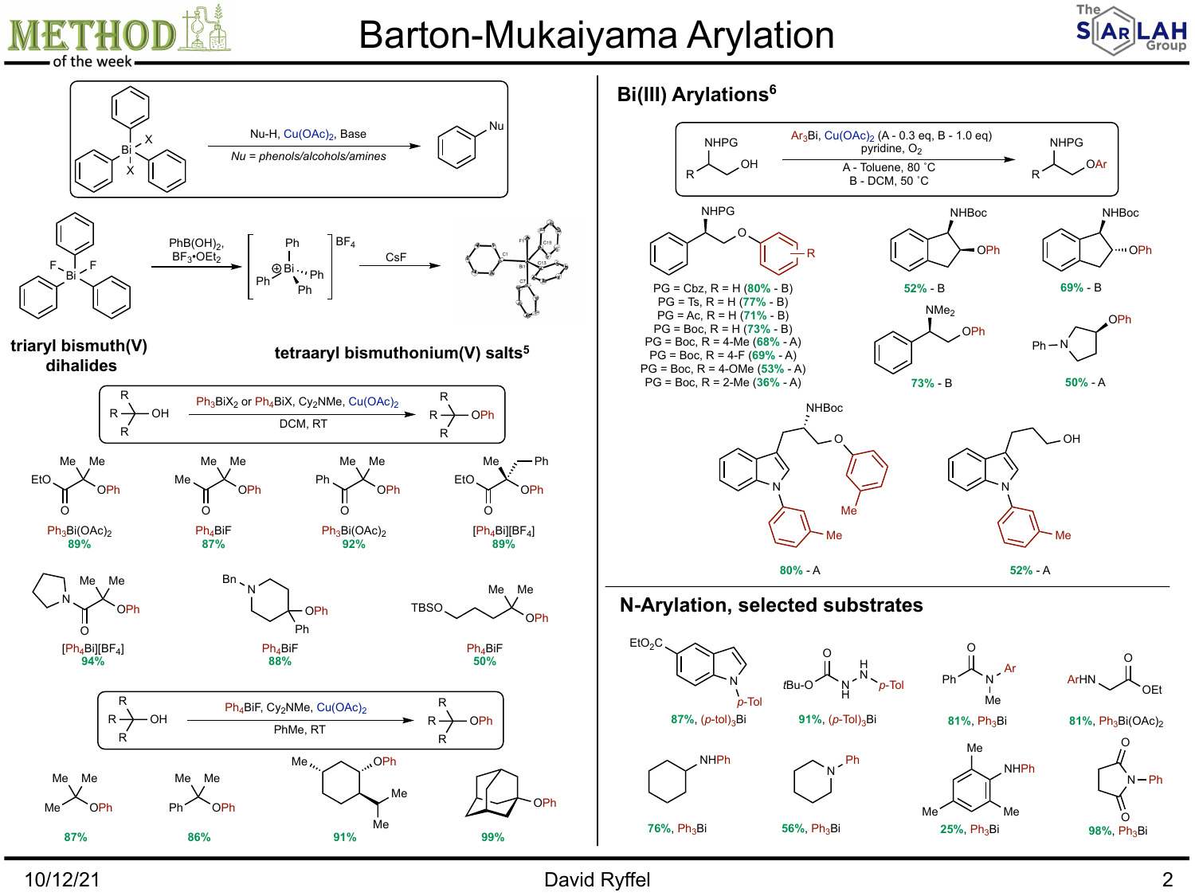

## Barton-Mukaiyama Arylation





10/12/21 David Ryffel 2